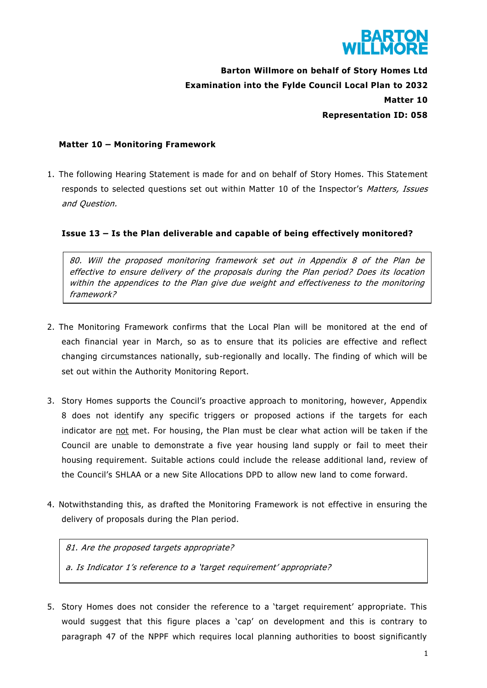

**Barton Willmore on behalf of Story Homes Ltd Examination into the Fylde Council Local Plan to 2032 Matter 10 Representation ID: 058**

## **Matter 10 – Monitoring Framework**

1. The following Hearing Statement is made for and on behalf of Story Homes. This Statement responds to selected questions set out within Matter 10 of the Inspector's Matters, Issues and Question.

## **Issue 13 – Is the Plan deliverable and capable of being effectively monitored?**

80. Will the proposed monitoring framework set out in Appendix 8 of the Plan be effective to ensure delivery of the proposals during the Plan period? Does its location within the appendices to the Plan give due weight and effectiveness to the monitoring framework?

- 2. The Monitoring Framework confirms that the Local Plan will be monitored at the end of each financial year in March, so as to ensure that its policies are effective and reflect changing circumstances nationally, sub-regionally and locally. The finding of which will be set out within the Authority Monitoring Report.
- 3. Story Homes supports the Council's proactive approach to monitoring, however, Appendix 8 does not identify any specific triggers or proposed actions if the targets for each indicator are not met. For housing, the Plan must be clear what action will be taken if the Council are unable to demonstrate a five year housing land supply or fail to meet their housing requirement. Suitable actions could include the release additional land, review of the Council's SHLAA or a new Site Allocations DPD to allow new land to come forward.
- 4. Notwithstanding this, as drafted the Monitoring Framework is not effective in ensuring the delivery of proposals during the Plan period.

81. Are the proposed targets appropriate? a. Is Indicator 1's reference to a 'target requirement' appropriate?

5. Story Homes does not consider the reference to a 'target requirement' appropriate. This would suggest that this figure places a 'cap' on development and this is contrary to paragraph 47 of the NPPF which requires local planning authorities to boost significantly